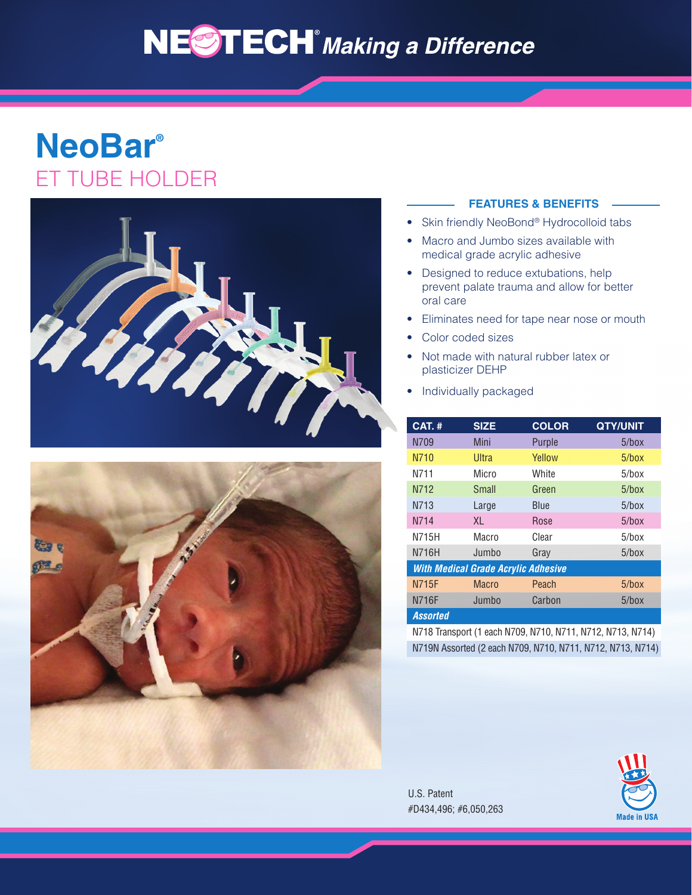# NESTECH<sup>®</sup> Making a Difference

## **NeoBar®** ET TUBE HOLDER





#### **FEATURES & BENEFITS**

- Skin friendly NeoBond® Hydrocolloid tabs
- Macro and Jumbo sizes available with medical grade acrylic adhesive
- Designed to reduce extubations, help prevent palate trauma and allow for better oral care
- Eliminates need for tape near nose or mouth
- Color coded sizes
- Not made with natural rubber latex or plasticizer DEHP
- Individually packaged

| <b>CAT.#</b>                               | <b>SIZE</b> | <b>COLOR</b> | <b>QTY/UNIT</b> |
|--------------------------------------------|-------------|--------------|-----------------|
| N709                                       | Mini        | Purple       | $5/b$ ox        |
| N710                                       | Ultra       | Yellow       | $5/b$ ox        |
| N711                                       | Micro       | White        | $5/b$ ox        |
| N712                                       | Small       | Green        | $5/b$ ox        |
| N713                                       | Large       | Blue         | $5/b$ ox        |
| N714                                       | XL.         | Rose         | $5/b$ ox        |
| N715H                                      | Macro       | Clear        | $5/b$ ox        |
| N716H                                      | Jumbo       | Gray         | $5/b$ ox        |
| <b>With Medical Grade Acrylic Adhesive</b> |             |              |                 |
| <b>N715F</b>                               | Macro       | Peach        | $5/b$ ox        |
| <b>N716F</b>                               | Jumbo       | Carbon       | $5/b$ ox        |
| <b>Assorted</b>                            |             |              |                 |

N718 Transport (1 each N709, N710, N711, N712, N713, N714) N719N Assorted (2 each N709, N710, N711, N712, N713, N714)

U.S. Patent #D434,496; #6,050,263